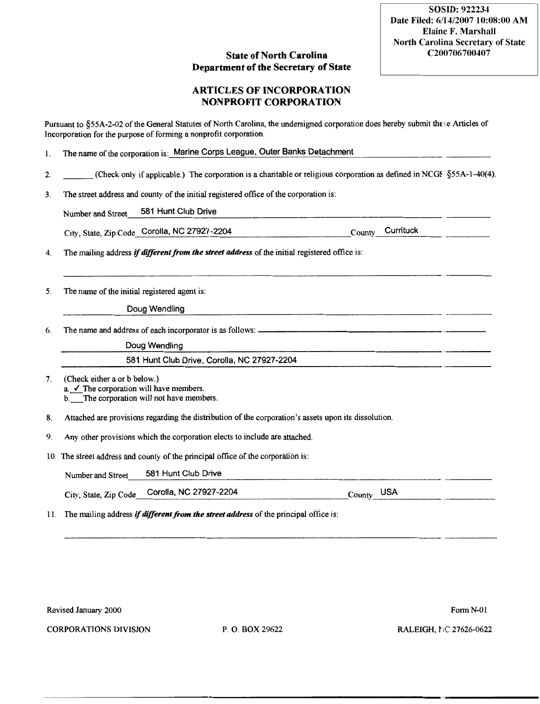## **State of North Carolina** Department of the Secretary of State

## ARTICLES OF INCORPORATION NONPROFIT CORPORATION

Pursuant to §55A-2-02 of the General Statutes of North Carolina, the undersigned corporation does hereby submit the se Articles of Incorporation for the purpose of forming a nonprofit corporation.

| The name of the corporation is: Marine Corps League, Outer Banks Detachment |  |
|-----------------------------------------------------------------------------|--|
|                                                                             |  |

- 2. (Check only if applicable.) The corporation is a charitable or religious corporation as defined in NCGS  $\S$ 55A-1-40(4).
- 3. The street address and county of the initial registered office of the corporation is:

Number and Street. 581 Hunt Club Drive

City, State, Zip Code Corolla, NC 27927-2204 County County Currituck

4. The mailing address *if different from the street address* of the initial registered office is:

5. The name of the initial registered agent is: The manning address<br>The name of the in<br>The name and add

Doug Wendling

6. The name and address of each incorporator is as follows: itial registered agent is:<br>Doug Wendling<br>ress of each incorporator is as follows:<br>Doug Wendling<br>581 Hunt Club Drive, Corolla, NC 2

581 Hunt Club Drive, Corolla, NC 27927-2204

7. (Check either a or b below.)  $a. \checkmark$  The corporation will have members.

b. The corporation will not have members.

8. Attached are provisions regarding the distribution of the corporation's assets upon its dissolution.

9. Any other provisions which the corporation elects to include are attached.

10. The street address and county Of the principal office of the corporation is:

Number and Street 581 Hunt Club Drive

City, State, Zip Code Corolla, NC 27927-2204 County USA

11. The mailing address if different from the street address of the principal office is:

Revised January 2000 Form N-01

CORPORATIONS DIVISION P. O. BOX 29622 RALEIGH, NC 27626-0622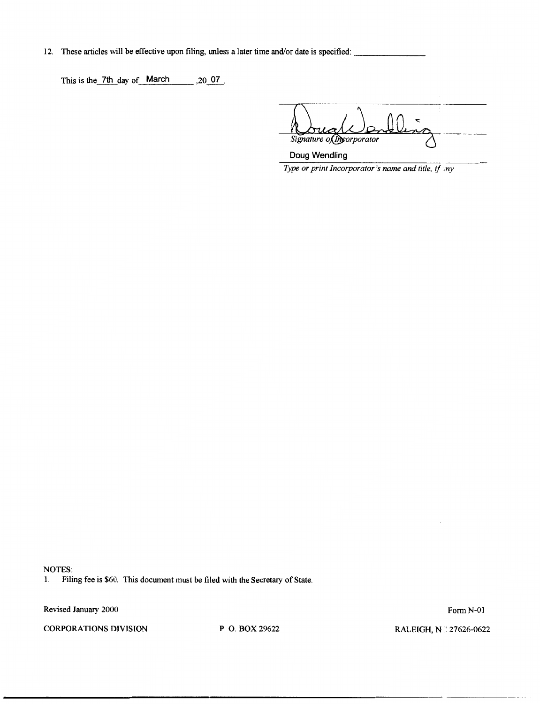12. These articles will be effective upon filing, unless a later time and/or date is specified:

This is the 7th day of March ,20 07.

 $\epsilon$ signature of the corporator orporator

Doug Wendling Type or print Incorporator's name and title, if  $m$ 

NOTES:

1. Filing fee is \$60. This document must be filed with the Secretary of State.

Revised January 2000 Form N-01

CORPORATIONS DIVISION P. O. BOX 29622 RALEIGH, N. 27626-0622